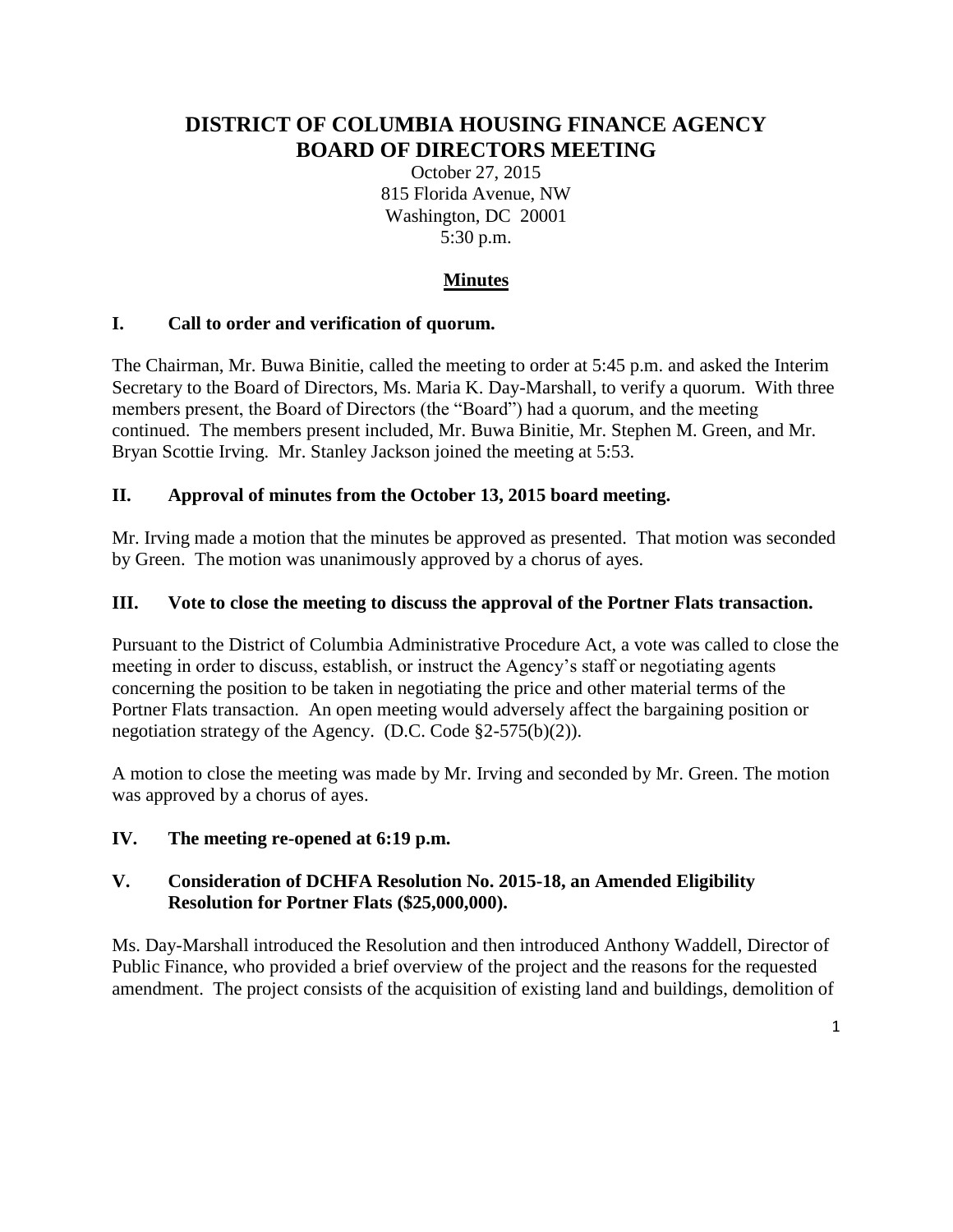# **DISTRICT OF COLUMBIA HOUSING FINANCE AGENCY BOARD OF DIRECTORS MEETING**

October 27, 2015 815 Florida Avenue, NW Washington, DC 20001 5:30 p.m.

## **Minutes**

## **I. Call to order and verification of quorum.**

The Chairman, Mr. Buwa Binitie, called the meeting to order at 5:45 p.m. and asked the Interim Secretary to the Board of Directors, Ms. Maria K. Day-Marshall, to verify a quorum. With three members present, the Board of Directors (the "Board") had a quorum, and the meeting continued. The members present included, Mr. Buwa Binitie, Mr. Stephen M. Green, and Mr. Bryan Scottie Irving. Mr. Stanley Jackson joined the meeting at 5:53.

## **II. Approval of minutes from the October 13, 2015 board meeting.**

Mr. Irving made a motion that the minutes be approved as presented. That motion was seconded by Green. The motion was unanimously approved by a chorus of ayes.

#### **III. Vote to close the meeting to discuss the approval of the Portner Flats transaction.**

Pursuant to the District of Columbia Administrative Procedure Act, a vote was called to close the meeting in order to discuss, establish, or instruct the Agency's staff or negotiating agents concerning the position to be taken in negotiating the price and other material terms of the Portner Flats transaction. An open meeting would adversely affect the bargaining position or negotiation strategy of the Agency. (D.C. Code §2-575(b)(2)).

A motion to close the meeting was made by Mr. Irving and seconded by Mr. Green. The motion was approved by a chorus of ayes.

#### **IV. The meeting re-opened at 6:19 p.m.**

## **V. Consideration of DCHFA Resolution No. 2015-18, an Amended Eligibility Resolution for Portner Flats (\$25,000,000).**

Ms. Day-Marshall introduced the Resolution and then introduced Anthony Waddell, Director of Public Finance, who provided a brief overview of the project and the reasons for the requested amendment. The project consists of the acquisition of existing land and buildings, demolition of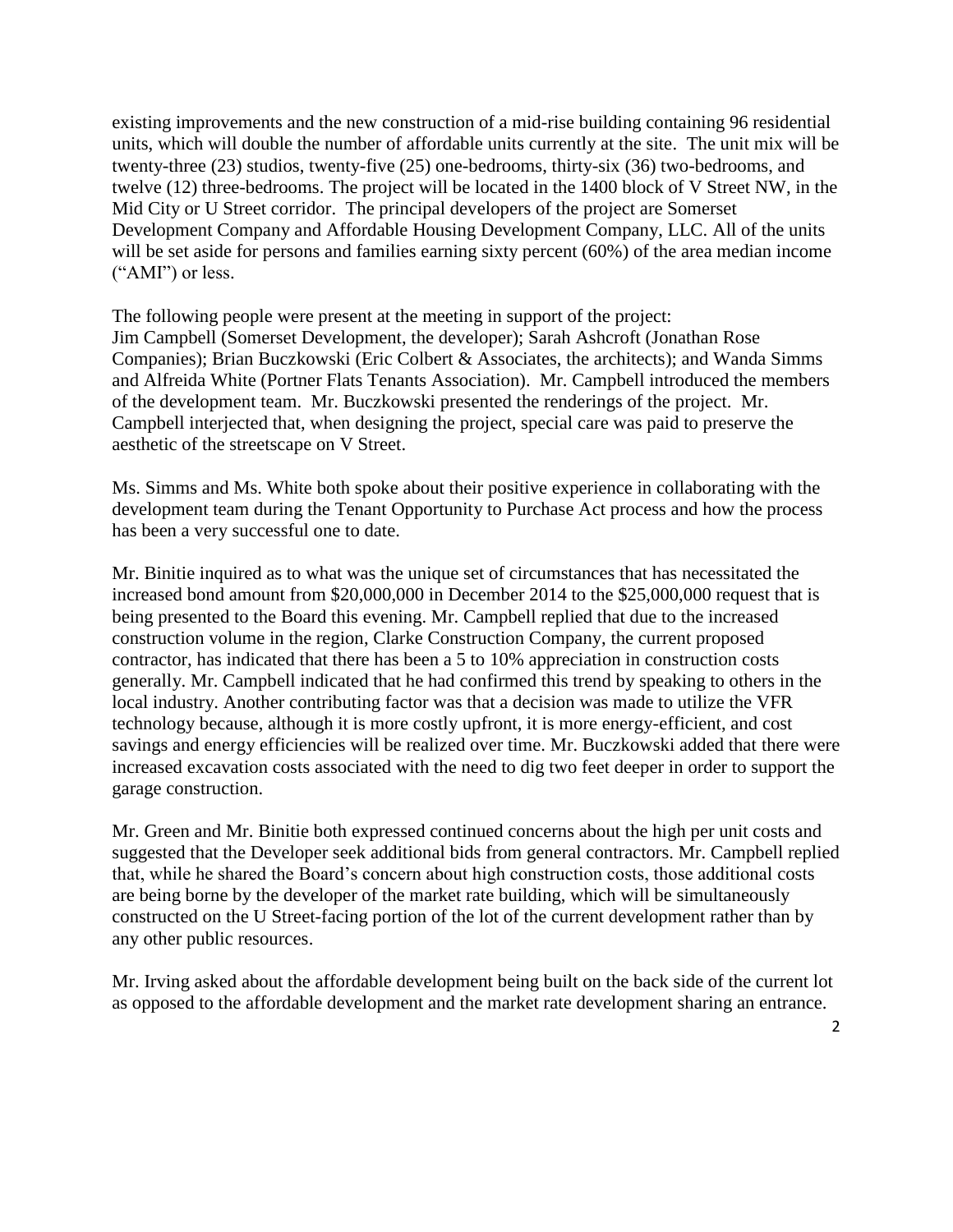existing improvements and the new construction of a mid-rise building containing 96 residential units, which will double the number of affordable units currently at the site. The unit mix will be twenty-three (23) studios, twenty-five (25) one-bedrooms, thirty-six (36) two-bedrooms, and twelve (12) three-bedrooms. The project will be located in the 1400 block of V Street NW, in the Mid City or U Street corridor. The principal developers of the project are Somerset Development Company and Affordable Housing Development Company, LLC. All of the units will be set aside for persons and families earning sixty percent (60%) of the area median income ("AMI") or less.

The following people were present at the meeting in support of the project: Jim Campbell (Somerset Development, the developer); Sarah Ashcroft (Jonathan Rose Companies); Brian Buczkowski (Eric Colbert & Associates, the architects); and Wanda Simms and Alfreida White (Portner Flats Tenants Association). Mr. Campbell introduced the members of the development team. Mr. Buczkowski presented the renderings of the project. Mr. Campbell interjected that, when designing the project, special care was paid to preserve the aesthetic of the streetscape on V Street.

Ms. Simms and Ms. White both spoke about their positive experience in collaborating with the development team during the Tenant Opportunity to Purchase Act process and how the process has been a very successful one to date.

Mr. Binitie inquired as to what was the unique set of circumstances that has necessitated the increased bond amount from \$20,000,000 in December 2014 to the \$25,000,000 request that is being presented to the Board this evening. Mr. Campbell replied that due to the increased construction volume in the region, Clarke Construction Company, the current proposed contractor, has indicated that there has been a 5 to 10% appreciation in construction costs generally. Mr. Campbell indicated that he had confirmed this trend by speaking to others in the local industry. Another contributing factor was that a decision was made to utilize the VFR technology because, although it is more costly upfront, it is more energy-efficient, and cost savings and energy efficiencies will be realized over time. Mr. Buczkowski added that there were increased excavation costs associated with the need to dig two feet deeper in order to support the garage construction.

Mr. Green and Mr. Binitie both expressed continued concerns about the high per unit costs and suggested that the Developer seek additional bids from general contractors. Mr. Campbell replied that, while he shared the Board's concern about high construction costs, those additional costs are being borne by the developer of the market rate building, which will be simultaneously constructed on the U Street-facing portion of the lot of the current development rather than by any other public resources.

Mr. Irving asked about the affordable development being built on the back side of the current lot as opposed to the affordable development and the market rate development sharing an entrance.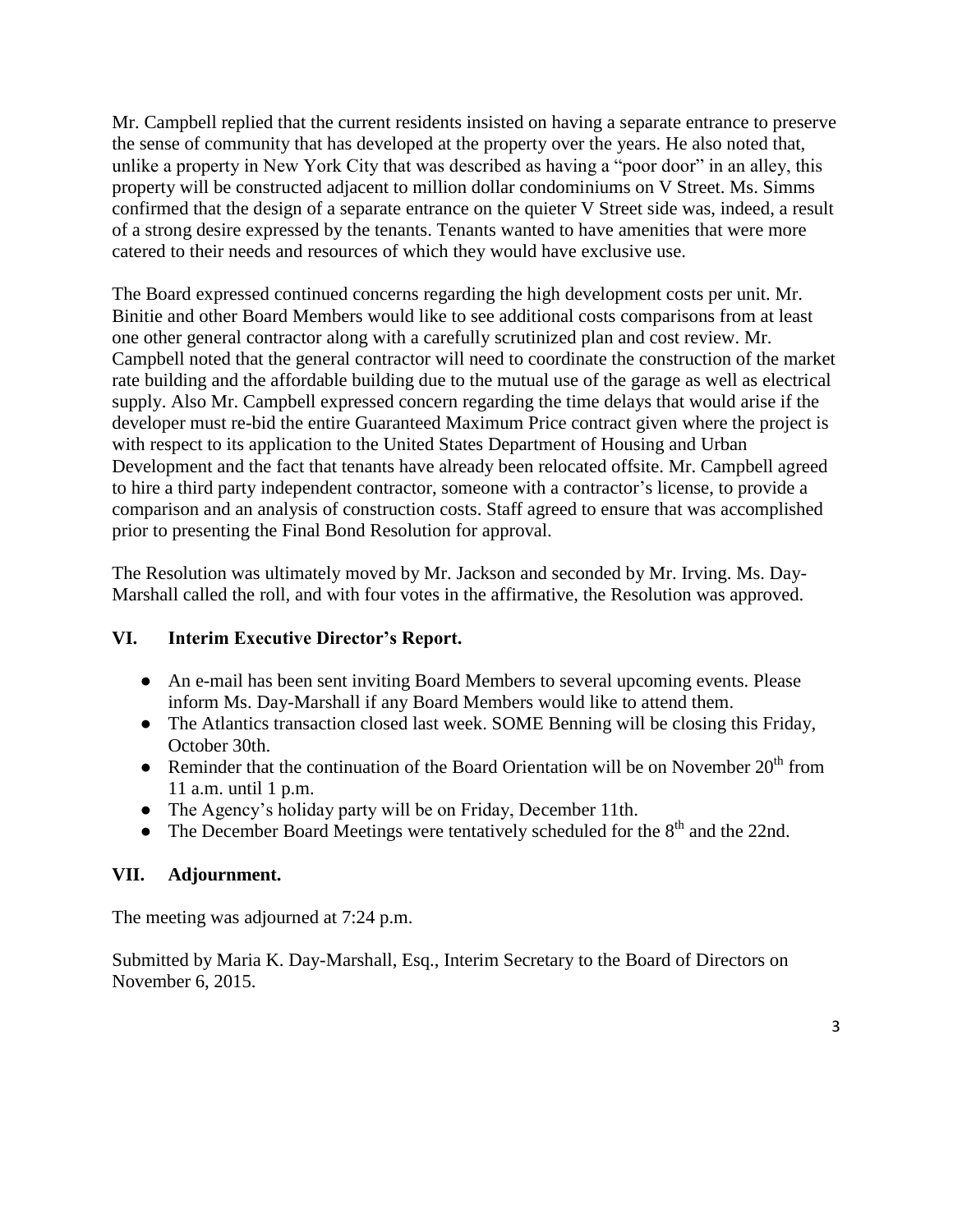Mr. Campbell replied that the current residents insisted on having a separate entrance to preserve the sense of community that has developed at the property over the years. He also noted that, unlike a property in New York City that was described as having a "poor door" in an alley, this property will be constructed adjacent to million dollar condominiums on V Street. Ms. Simms confirmed that the design of a separate entrance on the quieter V Street side was, indeed, a result of a strong desire expressed by the tenants. Tenants wanted to have amenities that were more catered to their needs and resources of which they would have exclusive use.

The Board expressed continued concerns regarding the high development costs per unit. Mr. Binitie and other Board Members would like to see additional costs comparisons from at least one other general contractor along with a carefully scrutinized plan and cost review. Mr. Campbell noted that the general contractor will need to coordinate the construction of the market rate building and the affordable building due to the mutual use of the garage as well as electrical supply. Also Mr. Campbell expressed concern regarding the time delays that would arise if the developer must re-bid the entire Guaranteed Maximum Price contract given where the project is with respect to its application to the United States Department of Housing and Urban Development and the fact that tenants have already been relocated offsite. Mr. Campbell agreed to hire a third party independent contractor, someone with a contractor's license, to provide a comparison and an analysis of construction costs. Staff agreed to ensure that was accomplished prior to presenting the Final Bond Resolution for approval.

The Resolution was ultimately moved by Mr. Jackson and seconded by Mr. Irving. Ms. Day-Marshall called the roll, and with four votes in the affirmative, the Resolution was approved.

#### **VI. Interim Executive Director's Report.**

- An e-mail has been sent inviting Board Members to several upcoming events. Please inform Ms. Day-Marshall if any Board Members would like to attend them.
- The Atlantics transaction closed last week. SOME Benning will be closing this Friday, October 30th.
- Reminder that the continuation of the Board Orientation will be on November  $20<sup>th</sup>$  from 11 a.m. until 1 p.m.
- The Agency's holiday party will be on Friday, December 11th.
- The December Board Meetings were tentatively scheduled for the  $8<sup>th</sup>$  and the 22nd.

#### **VII. Adjournment.**

The meeting was adjourned at 7:24 p.m.

Submitted by Maria K. Day-Marshall, Esq., Interim Secretary to the Board of Directors on November 6, 2015.